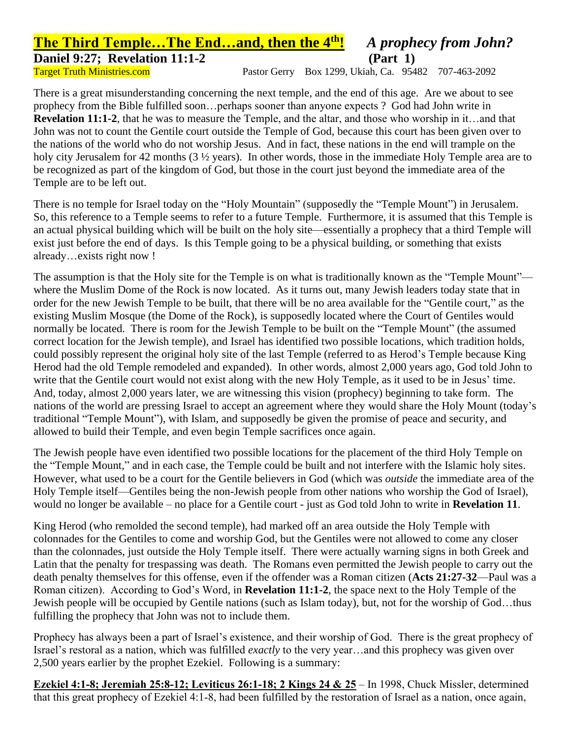## **The Third Temple…The End…and, then the 4th!** *A prophecy from John?* **Daniel 9:27; Revelation 11:1-2** (Part 1)

Target Truth Ministries.com Pastor Gerry Box 1299, Ukiah, Ca. 95482 707-463-2092

There is a great misunderstanding concerning the next temple, and the end of this age. Are we about to see prophecy from the Bible fulfilled soon…perhaps sooner than anyone expects ? God had John write in **Revelation 11:1-2**, that he was to measure the Temple, and the altar, and those who worship in it…and that John was not to count the Gentile court outside the Temple of God, because this court has been given over to the nations of the world who do not worship Jesus. And in fact, these nations in the end will trample on the holy city Jerusalem for 42 months (3  $\frac{1}{2}$  years). In other words, those in the immediate Holy Temple area are to be recognized as part of the kingdom of God, but those in the court just beyond the immediate area of the Temple are to be left out.

There is no temple for Israel today on the "Holy Mountain" (supposedly the "Temple Mount") in Jerusalem. So, this reference to a Temple seems to refer to a future Temple. Furthermore, it is assumed that this Temple is an actual physical building which will be built on the holy site—essentially a prophecy that a third Temple will exist just before the end of days. Is this Temple going to be a physical building, or something that exists already…exists right now !

The assumption is that the Holy site for the Temple is on what is traditionally known as the "Temple Mount" where the Muslim Dome of the Rock is now located. As it turns out, many Jewish leaders today state that in order for the new Jewish Temple to be built, that there will be no area available for the "Gentile court," as the existing Muslim Mosque (the Dome of the Rock), is supposedly located where the Court of Gentiles would normally be located. There is room for the Jewish Temple to be built on the "Temple Mount" (the assumed correct location for the Jewish temple), and Israel has identified two possible locations, which tradition holds, could possibly represent the original holy site of the last Temple (referred to as Herod's Temple because King Herod had the old Temple remodeled and expanded). In other words, almost 2,000 years ago, God told John to write that the Gentile court would not exist along with the new Holy Temple, as it used to be in Jesus' time. And, today, almost 2,000 years later, we are witnessing this vision (prophecy) beginning to take form. The nations of the world are pressing Israel to accept an agreement where they would share the Holy Mount (today's traditional "Temple Mount"), with Islam, and supposedly be given the promise of peace and security, and allowed to build their Temple, and even begin Temple sacrifices once again.

The Jewish people have even identified two possible locations for the placement of the third Holy Temple on the "Temple Mount," and in each case, the Temple could be built and not interfere with the Islamic holy sites. However, what used to be a court for the Gentile believers in God (which was *outside* the immediate area of the Holy Temple itself—Gentiles being the non-Jewish people from other nations who worship the God of Israel), would no longer be available – no place for a Gentile court - just as God told John to write in **Revelation 11**.

King Herod (who remolded the second temple), had marked off an area outside the Holy Temple with colonnades for the Gentiles to come and worship God, but the Gentiles were not allowed to come any closer than the colonnades, just outside the Holy Temple itself. There were actually warning signs in both Greek and Latin that the penalty for trespassing was death. The Romans even permitted the Jewish people to carry out the death penalty themselves for this offense, even if the offender was a Roman citizen (**Acts 21:27-32**—Paul was a Roman citizen). According to God's Word, in **Revelation 11:1-2**, the space next to the Holy Temple of the Jewish people will be occupied by Gentile nations (such as Islam today), but, not for the worship of God…thus fulfilling the prophecy that John was not to include them.

Prophecy has always been a part of Israel's existence, and their worship of God. There is the great prophecy of Israel's restoral as a nation, which was fulfilled *exactly* to the very year…and this prophecy was given over 2,500 years earlier by the prophet Ezekiel. Following is a summary:

**Ezekiel 4:1-8; Jeremiah 25:8-12; Leviticus 26:1-18; 2 Kings 24 & 25** – In 1998, Chuck Missler, determined that this great prophecy of Ezekiel 4:1-8, had been fulfilled by the restoration of Israel as a nation, once again,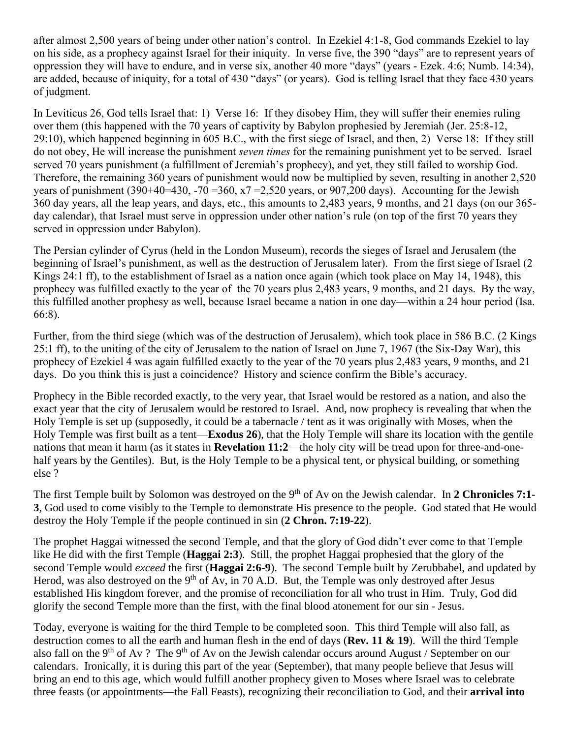after almost 2,500 years of being under other nation's control. In Ezekiel 4:1-8, God commands Ezekiel to lay on his side, as a prophecy against Israel for their iniquity. In verse five, the 390 "days" are to represent years of oppression they will have to endure, and in verse six, another 40 more "days" (years - Ezek. 4:6; Numb. 14:34), are added, because of iniquity, for a total of 430 "days" (or years). God is telling Israel that they face 430 years of judgment.

In Leviticus 26, God tells Israel that: 1) Verse 16: If they disobey Him, they will suffer their enemies ruling over them (this happened with the 70 years of captivity by Babylon prophesied by Jeremiah (Jer. 25:8-12, 29:10), which happened beginning in 605 B.C., with the first siege of Israel, and then, 2) Verse 18: If they still do not obey, He will increase the punishment *seven times* for the remaining punishment yet to be served. Israel served 70 years punishment (a fulfillment of Jeremiah's prophecy), and yet, they still failed to worship God. Therefore, the remaining 360 years of punishment would now be multiplied by seven, resulting in another 2,520 years of punishment (390+40=430, -70 = 360,  $x7 = 2.520$  years, or 907,200 days). Accounting for the Jewish 360 day years, all the leap years, and days, etc., this amounts to 2,483 years, 9 months, and 21 days (on our 365 day calendar), that Israel must serve in oppression under other nation's rule (on top of the first 70 years they served in oppression under Babylon).

The Persian cylinder of Cyrus (held in the London Museum), records the sieges of Israel and Jerusalem (the beginning of Israel's punishment, as well as the destruction of Jerusalem later). From the first siege of Israel (2 Kings 24:1 ff), to the establishment of Israel as a nation once again (which took place on May 14, 1948), this prophecy was fulfilled exactly to the year of the 70 years plus 2,483 years, 9 months, and 21 days. By the way, this fulfilled another prophesy as well, because Israel became a nation in one day—within a 24 hour period (Isa. 66:8).

Further, from the third siege (which was of the destruction of Jerusalem), which took place in 586 B.C. (2 Kings 25:1 ff), to the uniting of the city of Jerusalem to the nation of Israel on June 7, 1967 (the Six-Day War), this prophecy of Ezekiel 4 was again fulfilled exactly to the year of the 70 years plus 2,483 years, 9 months, and 21 days. Do you think this is just a coincidence? History and science confirm the Bible's accuracy.

Prophecy in the Bible recorded exactly, to the very year, that Israel would be restored as a nation, and also the exact year that the city of Jerusalem would be restored to Israel. And, now prophecy is revealing that when the Holy Temple is set up (supposedly, it could be a tabernacle / tent as it was originally with Moses, when the Holy Temple was first built as a tent—**Exodus 26**), that the Holy Temple will share its location with the gentile nations that mean it harm (as it states in **Revelation 11:2**—the holy city will be tread upon for three-and-onehalf years by the Gentiles). But, is the Holy Temple to be a physical tent, or physical building, or something else ?

The first Temple built by Solomon was destroyed on the 9<sup>th</sup> of Av on the Jewish calendar. In 2 Chronicles 7:1-**3**, God used to come visibly to the Temple to demonstrate His presence to the people. God stated that He would destroy the Holy Temple if the people continued in sin (**2 Chron. 7:19-22**).

The prophet Haggai witnessed the second Temple, and that the glory of God didn't ever come to that Temple like He did with the first Temple (**Haggai 2:3**). Still, the prophet Haggai prophesied that the glory of the second Temple would *exceed* the first (**Haggai 2:6-9**). The second Temple built by Zerubbabel, and updated by Herod, was also destroyed on the  $9<sup>th</sup>$  of Av, in 70 A.D. But, the Temple was only destroyed after Jesus established His kingdom forever, and the promise of reconciliation for all who trust in Him. Truly, God did glorify the second Temple more than the first, with the final blood atonement for our sin - Jesus.

Today, everyone is waiting for the third Temple to be completed soon. This third Temple will also fall, as destruction comes to all the earth and human flesh in the end of days (**Rev. 11 & 19**). Will the third Temple also fall on the 9<sup>th</sup> of Av ? The 9<sup>th</sup> of Av on the Jewish calendar occurs around August / September on our calendars. Ironically, it is during this part of the year (September), that many people believe that Jesus will bring an end to this age, which would fulfill another prophecy given to Moses where Israel was to celebrate three feasts (or appointments—the Fall Feasts), recognizing their reconciliation to God, and their **arrival into**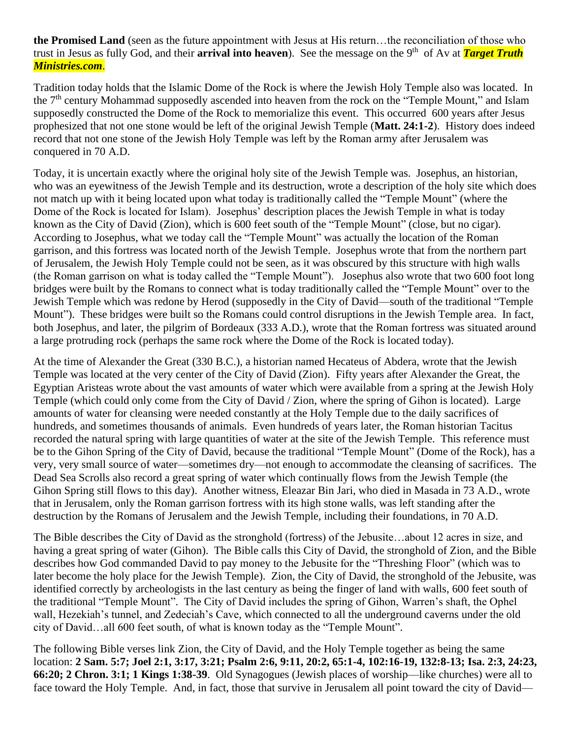**the Promised Land** (seen as the future appointment with Jesus at His return…the reconciliation of those who trust in Jesus as fully God, and their **arrival into heaven**). See the message on the 9<sup>th</sup> of Av at **Target Truth** *Ministries.com*.

Tradition today holds that the Islamic Dome of the Rock is where the Jewish Holy Temple also was located. In the  $7<sup>th</sup>$  century Mohammad supposedly ascended into heaven from the rock on the "Temple Mount," and Islam supposedly constructed the Dome of the Rock to memorialize this event. This occurred 600 years after Jesus prophesized that not one stone would be left of the original Jewish Temple (**Matt. 24:1-2**). History does indeed record that not one stone of the Jewish Holy Temple was left by the Roman army after Jerusalem was conquered in 70 A.D.

Today, it is uncertain exactly where the original holy site of the Jewish Temple was. Josephus, an historian, who was an eyewitness of the Jewish Temple and its destruction, wrote a description of the holy site which does not match up with it being located upon what today is traditionally called the "Temple Mount" (where the Dome of the Rock is located for Islam). Josephus' description places the Jewish Temple in what is today known as the City of David (Zion), which is 600 feet south of the "Temple Mount" (close, but no cigar). According to Josephus, what we today call the "Temple Mount" was actually the location of the Roman garrison, and this fortress was located north of the Jewish Temple. Josephus wrote that from the northern part of Jerusalem, the Jewish Holy Temple could not be seen, as it was obscured by this structure with high walls (the Roman garrison on what is today called the "Temple Mount"). Josephus also wrote that two 600 foot long bridges were built by the Romans to connect what is today traditionally called the "Temple Mount" over to the Jewish Temple which was redone by Herod (supposedly in the City of David—south of the traditional "Temple Mount"). These bridges were built so the Romans could control disruptions in the Jewish Temple area. In fact, both Josephus, and later, the pilgrim of Bordeaux (333 A.D.), wrote that the Roman fortress was situated around a large protruding rock (perhaps the same rock where the Dome of the Rock is located today).

At the time of Alexander the Great (330 B.C.), a historian named Hecateus of Abdera, wrote that the Jewish Temple was located at the very center of the City of David (Zion). Fifty years after Alexander the Great, the Egyptian Aristeas wrote about the vast amounts of water which were available from a spring at the Jewish Holy Temple (which could only come from the City of David / Zion, where the spring of Gihon is located). Large amounts of water for cleansing were needed constantly at the Holy Temple due to the daily sacrifices of hundreds, and sometimes thousands of animals. Even hundreds of years later, the Roman historian Tacitus recorded the natural spring with large quantities of water at the site of the Jewish Temple. This reference must be to the Gihon Spring of the City of David, because the traditional "Temple Mount" (Dome of the Rock), has a very, very small source of water—sometimes dry—not enough to accommodate the cleansing of sacrifices. The Dead Sea Scrolls also record a great spring of water which continually flows from the Jewish Temple (the Gihon Spring still flows to this day). Another witness, Eleazar Bin Jari, who died in Masada in 73 A.D., wrote that in Jerusalem, only the Roman garrison fortress with its high stone walls, was left standing after the destruction by the Romans of Jerusalem and the Jewish Temple, including their foundations, in 70 A.D.

The Bible describes the City of David as the stronghold (fortress) of the Jebusite…about 12 acres in size, and having a great spring of water (Gihon). The Bible calls this City of David, the stronghold of Zion, and the Bible describes how God commanded David to pay money to the Jebusite for the "Threshing Floor" (which was to later become the holy place for the Jewish Temple). Zion, the City of David, the stronghold of the Jebusite, was identified correctly by archeologists in the last century as being the finger of land with walls, 600 feet south of the traditional "Temple Mount". The City of David includes the spring of Gihon, Warren's shaft, the Ophel wall, Hezekiah's tunnel, and Zedeciah's Cave, which connected to all the underground caverns under the old city of David…all 600 feet south, of what is known today as the "Temple Mount".

The following Bible verses link Zion, the City of David, and the Holy Temple together as being the same location: **2 Sam. 5:7; Joel 2:1, 3:17, 3:21; Psalm 2:6, 9:11, 20:2, 65:1-4, 102:16-19, 132:8-13; Isa. 2:3, 24:23, 66:20; 2 Chron. 3:1; 1 Kings 1:38-39**. Old Synagogues (Jewish places of worship—like churches) were all to face toward the Holy Temple. And, in fact, those that survive in Jerusalem all point toward the city of David—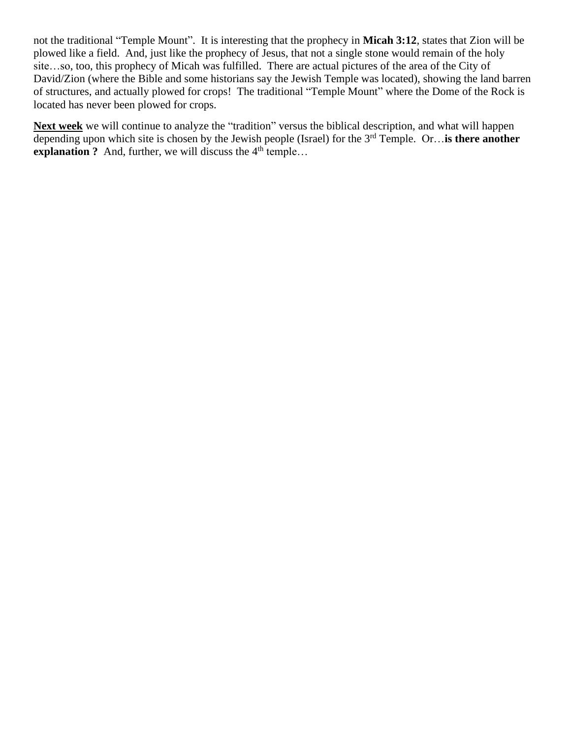not the traditional "Temple Mount". It is interesting that the prophecy in **Micah 3:12**, states that Zion will be plowed like a field. And, just like the prophecy of Jesus, that not a single stone would remain of the holy site…so, too, this prophecy of Micah was fulfilled. There are actual pictures of the area of the City of David/Zion (where the Bible and some historians say the Jewish Temple was located), showing the land barren of structures, and actually plowed for crops! The traditional "Temple Mount" where the Dome of the Rock is located has never been plowed for crops.

**Next week** we will continue to analyze the "tradition" versus the biblical description, and what will happen depending upon which site is chosen by the Jewish people (Israel) for the 3rd Temple. Or…**is there another explanation ?** And, further, we will discuss the  $4<sup>th</sup>$  temple...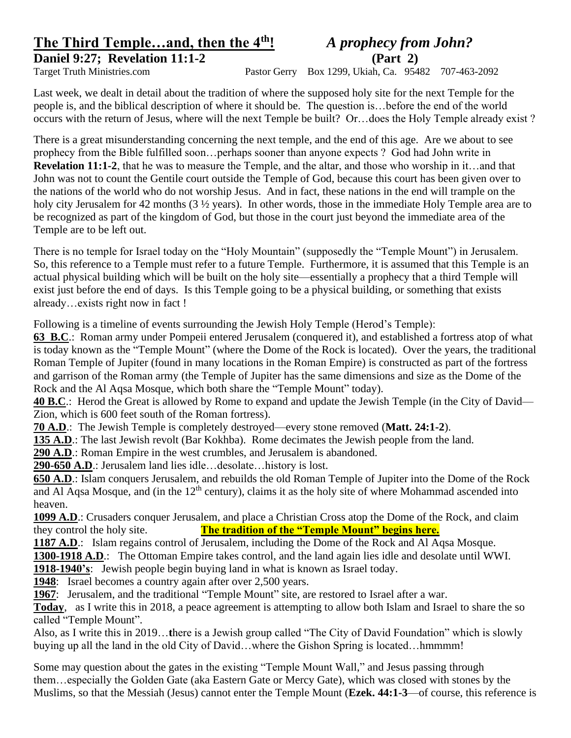### **The Third Temple…and, then the 4th!** *A prophecy from John?* **Daniel 9:27; Revelation 11:1-2 (Part 2)**

Target Truth Ministries.com Pastor Gerry Box 1299, Ukiah, Ca. 95482 707-463-2092

Last week, we dealt in detail about the tradition of where the supposed holy site for the next Temple for the people is, and the biblical description of where it should be. The question is…before the end of the world occurs with the return of Jesus, where will the next Temple be built? Or…does the Holy Temple already exist ?

There is a great misunderstanding concerning the next temple, and the end of this age. Are we about to see prophecy from the Bible fulfilled soon…perhaps sooner than anyone expects ? God had John write in **Revelation 11:1-2**, that he was to measure the Temple, and the altar, and those who worship in it…and that John was not to count the Gentile court outside the Temple of God, because this court has been given over to the nations of the world who do not worship Jesus. And in fact, these nations in the end will trample on the holy city Jerusalem for 42 months (3  $\frac{1}{2}$  years). In other words, those in the immediate Holy Temple area are to be recognized as part of the kingdom of God, but those in the court just beyond the immediate area of the Temple are to be left out.

There is no temple for Israel today on the "Holy Mountain" (supposedly the "Temple Mount") in Jerusalem. So, this reference to a Temple must refer to a future Temple. Furthermore, it is assumed that this Temple is an actual physical building which will be built on the holy site—essentially a prophecy that a third Temple will exist just before the end of days. Is this Temple going to be a physical building, or something that exists already…exists right now in fact !

Following is a timeline of events surrounding the Jewish Holy Temple (Herod's Temple):

**63 B.C**.: Roman army under Pompeii entered Jerusalem (conquered it), and established a fortress atop of what is today known as the "Temple Mount" (where the Dome of the Rock is located). Over the years, the traditional Roman Temple of Jupiter (found in many locations in the Roman Empire) is constructed as part of the fortress and garrison of the Roman army (the Temple of Jupiter has the same dimensions and size as the Dome of the Rock and the Al Aqsa Mosque, which both share the "Temple Mount" today).

**40 B.C**.: Herod the Great is allowed by Rome to expand and update the Jewish Temple (in the City of David— Zion, which is 600 feet south of the Roman fortress).

**70 A.D**.: The Jewish Temple is completely destroyed—every stone removed (**Matt. 24:1-2**).

**135 A.D**.: The last Jewish revolt (Bar Kokhba). Rome decimates the Jewish people from the land.

**290 A.D**.: Roman Empire in the west crumbles, and Jerusalem is abandoned.

**290-650 A.D**.: Jerusalem land lies idle…desolate…history is lost.

**650 A.D**.: Islam conquers Jerusalem, and rebuilds the old Roman Temple of Jupiter into the Dome of the Rock and Al Aqsa Mosque, and (in the  $12<sup>th</sup>$  century), claims it as the holy site of where Mohammad ascended into heaven.

**1099 A.D**.: Crusaders conquer Jerusalem, and place a Christian Cross atop the Dome of the Rock, and claim they control the holy site. **The tradition of the "Temple Mount" begins here.**

**1187 A.D.:** Islam regains control of Jerusalem, including the Dome of the Rock and Al Aqsa Mosque.

**1300-1918 A.D**.: The Ottoman Empire takes control, and the land again lies idle and desolate until WWI.

**1918-1940's**: Jewish people begin buying land in what is known as Israel today.

**1948**: Israel becomes a country again after over 2,500 years.

**1967**: Jerusalem, and the traditional "Temple Mount" site, are restored to Israel after a war.

**Today**, as I write this in 2018, a peace agreement is attempting to allow both Islam and Israel to share the so called "Temple Mount".

Also, as I write this in 2019…**t**here is a Jewish group called "The City of David Foundation" which is slowly buying up all the land in the old City of David...where the Gishon Spring is located...hmmmm!

Some may question about the gates in the existing "Temple Mount Wall," and Jesus passing through them…especially the Golden Gate (aka Eastern Gate or Mercy Gate), which was closed with stones by the Muslims, so that the Messiah (Jesus) cannot enter the Temple Mount (**Ezek. 44:1-3**—of course, this reference is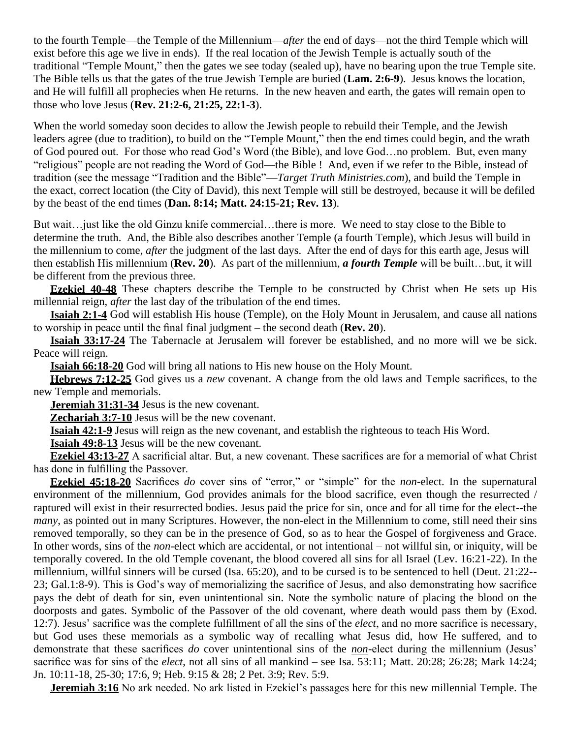to the fourth Temple—the Temple of the Millennium—*after* the end of days—not the third Temple which will exist before this age we live in ends). If the real location of the Jewish Temple is actually south of the traditional "Temple Mount," then the gates we see today (sealed up), have no bearing upon the true Temple site. The Bible tells us that the gates of the true Jewish Temple are buried (**Lam. 2:6-9**). Jesus knows the location, and He will fulfill all prophecies when He returns. In the new heaven and earth, the gates will remain open to those who love Jesus (**Rev. 21:2-6, 21:25, 22:1-3**).

When the world someday soon decides to allow the Jewish people to rebuild their Temple, and the Jewish leaders agree (due to tradition), to build on the "Temple Mount," then the end times could begin, and the wrath of God poured out. For those who read God's Word (the Bible), and love God…no problem. But, even many "religious" people are not reading the Word of God—the Bible ! And, even if we refer to the Bible, instead of tradition (see the message "Tradition and the Bible"—*Target Truth Ministries.com*), and build the Temple in the exact, correct location (the City of David), this next Temple will still be destroyed, because it will be defiled by the beast of the end times (**Dan. 8:14; Matt. 24:15-21; Rev. 13**).

But wait…just like the old Ginzu knife commercial…there is more. We need to stay close to the Bible to determine the truth. And, the Bible also describes another Temple (a fourth Temple), which Jesus will build in the millennium to come, *after* the judgment of the last days. After the end of days for this earth age, Jesus will then establish His millennium (**Rev. 20**). As part of the millennium, *a fourth Temple* will be built…but, it will be different from the previous three.

**Ezekiel 40-48** These chapters describe the Temple to be constructed by Christ when He sets up His millennial reign, *after* the last day of the tribulation of the end times.

**Isaiah 2:1-4** God will establish His house (Temple), on the Holy Mount in Jerusalem, and cause all nations to worship in peace until the final final judgment – the second death (**Rev. 20**).

**Isaiah 33:17-24** The Tabernacle at Jerusalem will forever be established, and no more will we be sick. Peace will reign.

**Isaiah 66:18-20** God will bring all nations to His new house on the Holy Mount.

**Hebrews 7:12-25** God gives us a *new* covenant. A change from the old laws and Temple sacrifices, to the new Temple and memorials.

**Jeremiah 31:31-34** Jesus is the new covenant.

**Zechariah 3:7-10** Jesus will be the new covenant.

**Isaiah 42:1-9** Jesus will reign as the new covenant, and establish the righteous to teach His Word.

**Isaiah 49:8-13** Jesus will be the new covenant.

**Ezekiel 43:13-27** A sacrificial altar. But, a new covenant. These sacrifices are for a memorial of what Christ has done in fulfilling the Passover.

**Ezekiel 45:18-20** Sacrifices *do* cover sins of "error," or "simple" for the *non*-elect. In the supernatural environment of the millennium, God provides animals for the blood sacrifice, even though the resurrected / raptured will exist in their resurrected bodies. Jesus paid the price for sin, once and for all time for the elect--the *many*, as pointed out in many Scriptures. However, the non-elect in the Millennium to come, still need their sins removed temporally, so they can be in the presence of God, so as to hear the Gospel of forgiveness and Grace. In other words, sins of the *non*-elect which are accidental, or not intentional – not willful sin, or iniquity, will be temporally covered. In the old Temple covenant, the blood covered all sins for all Israel (Lev. 16:21-22). In the millennium, willful sinners will be cursed (Isa. 65:20), and to be cursed is to be sentenced to hell (Deut. 21:22-- 23; Gal.1:8-9). This is God's way of memorializing the sacrifice of Jesus, and also demonstrating how sacrifice pays the debt of death for sin, even unintentional sin. Note the symbolic nature of placing the blood on the doorposts and gates. Symbolic of the Passover of the old covenant, where death would pass them by (Exod. 12:7). Jesus' sacrifice was the complete fulfillment of all the sins of the *elect*, and no more sacrifice is necessary, but God uses these memorials as a symbolic way of recalling what Jesus did, how He suffered, and to demonstrate that these sacrifices *do* cover unintentional sins of the *non*-elect during the millennium (Jesus' sacrifice was for sins of the *elect*, not all sins of all mankind – see Isa. 53:11; Matt. 20:28; 26:28; Mark 14:24; Jn. 10:11-18, 25-30; 17:6, 9; Heb. 9:15 & 28; 2 Pet. 3:9; Rev. 5:9.

**Jeremiah 3:16** No ark needed. No ark listed in Ezekiel's passages here for this new millennial Temple. The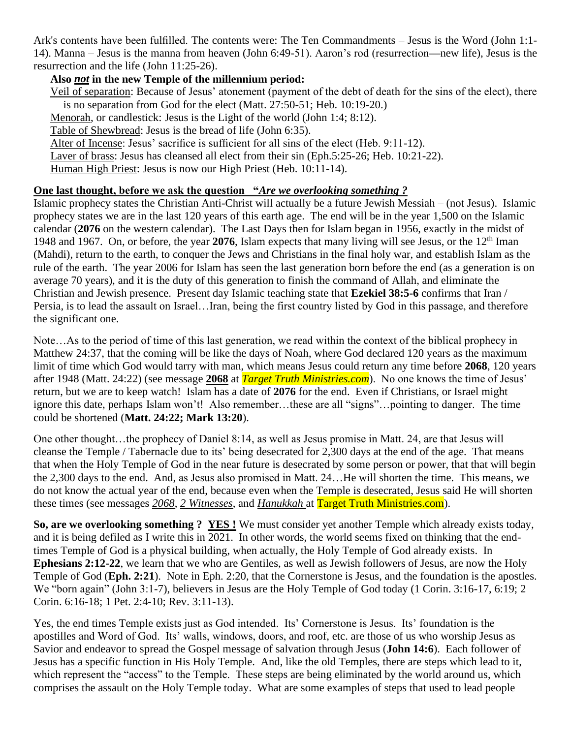Ark's contents have been fulfilled. The contents were: The Ten Commandments – Jesus is the Word (John 1:1- 14). Manna – Jesus is the manna from heaven (John 6:49-51). Aaron's rod (resurrection**—**new life), Jesus is the resurrection and the life (John 11:25-26).

#### **Also** *not* **in the new Temple of the millennium period:**

Veil of separation: Because of Jesus' atonement (payment of the debt of death for the sins of the elect), there is no separation from God for the elect (Matt. 27:50-51; Heb. 10:19-20.)

Menorah, or candlestick: Jesus is the Light of the world (John 1:4; 8:12).

Table of Shewbread: Jesus is the bread of life (John 6:35).

Alter of Incense: Jesus' sacrifice is sufficient for all sins of the elect (Heb. 9:11-12).

Laver of brass: Jesus has cleansed all elect from their sin (Eph.5:25-26; Heb. 10:21-22).

Human High Priest: Jesus is now our High Priest (Heb. 10:11-14).

#### **One last thought, before we ask the question "***Are we overlooking something ?*

Islamic prophecy states the Christian Anti-Christ will actually be a future Jewish Messiah – (not Jesus). Islamic prophecy states we are in the last 120 years of this earth age. The end will be in the year 1,500 on the Islamic calendar (**2076** on the western calendar). The Last Days then for Islam began in 1956, exactly in the midst of 1948 and 1967. On, or before, the year **2076**, Islam expects that many living will see Jesus, or the 12th Iman (Mahdi), return to the earth, to conquer the Jews and Christians in the final holy war, and establish Islam as the rule of the earth. The year 2006 for Islam has seen the last generation born before the end (as a generation is on average 70 years), and it is the duty of this generation to finish the command of Allah, and eliminate the Christian and Jewish presence. Present day Islamic teaching state that **Ezekiel 38:5-6** confirms that Iran / Persia, is to lead the assault on Israel…Iran, being the first country listed by God in this passage, and therefore the significant one.

Note…As to the period of time of this last generation, we read within the context of the biblical prophecy in Matthew 24:37, that the coming will be like the days of Noah, where God declared 120 years as the maximum limit of time which God would tarry with man, which means Jesus could return any time before **2068**, 120 years after 1948 (Matt. 24:22) (see message **2068** at *Target Truth Ministries.com*). No one knows the time of Jesus' return, but we are to keep watch! Islam has a date of **2076** for the end. Even if Christians, or Israel might ignore this date, perhaps Islam won't! Also remember…these are all "signs"…pointing to danger. The time could be shortened (**Matt. 24:22; Mark 13:20**).

One other thought…the prophecy of Daniel 8:14, as well as Jesus promise in Matt. 24, are that Jesus will cleanse the Temple / Tabernacle due to its' being desecrated for 2,300 days at the end of the age. That means that when the Holy Temple of God in the near future is desecrated by some person or power, that that will begin the 2,300 days to the end. And, as Jesus also promised in Matt. 24…He will shorten the time. This means, we do not know the actual year of the end, because even when the Temple is desecrated, Jesus said He will shorten these times (see messages *2068*, *2 Witnesses*, and *Hanukkah* at Target Truth Ministries.com).

**So, are we overlooking something ? YES !** We must consider yet another Temple which already exists today, and it is being defiled as I write this in 2021. In other words, the world seems fixed on thinking that the endtimes Temple of God is a physical building, when actually, the Holy Temple of God already exists. In **Ephesians 2:12-22**, we learn that we who are Gentiles, as well as Jewish followers of Jesus, are now the Holy Temple of God (**Eph. 2:21**). Note in Eph. 2:20, that the Cornerstone is Jesus, and the foundation is the apostles. We "born again" (John 3:1-7), believers in Jesus are the Holy Temple of God today (1 Corin. 3:16-17, 6:19; 2 Corin. 6:16-18; 1 Pet. 2:4-10; Rev. 3:11-13).

Yes, the end times Temple exists just as God intended. Its' Cornerstone is Jesus. Its' foundation is the apostilles and Word of God. Its' walls, windows, doors, and roof, etc. are those of us who worship Jesus as Savior and endeavor to spread the Gospel message of salvation through Jesus (**John 14:6**). Each follower of Jesus has a specific function in His Holy Temple. And, like the old Temples, there are steps which lead to it, which represent the "access" to the Temple. These steps are being eliminated by the world around us, which comprises the assault on the Holy Temple today. What are some examples of steps that used to lead people